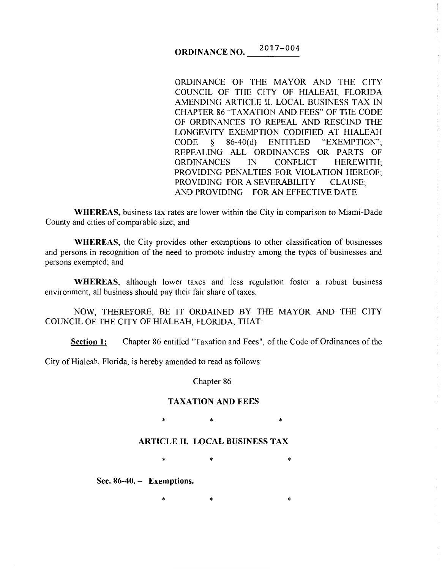### ORDINANCE NO.  $017 - 004$

ORDINANCE OF THE MAYOR AND THE CITY COUNCIL OF THE CITY OF HIALEAH, FLORIDA AMENDING ARTICLE II. LOCAL BUSINESS TAX IN CHAPTER 86 "TAXATION AND FEES" OF THE CODE OF ORDINANCES TO REPEAL AND RESCIND THE LONGEVITY EXEMPTION CODIFIED AT HIALEAH CODE § 86-40(d) ENTITLED "EXEMPTION"; REPEALING ALL ORDINANCES OR PARTS OF ORDINANCES IN CONFLICT HEREWITH; PROVIDING PENALTIES FOR VIOLATION HEREOF; PROVIDING FOR A SEVERABILITY CLAUSE; AND PROVIDING FOR AN EFFECTIVE DATE.

WHEREAS, business tax rates are lower within the City in comparison to Miami-Dade County and cities of comparable size; and

WHEREAS, the City provides other exemptions to other classification of businesses and persons in recognition of the need to promote industry among the types of businesses and persons exempted; and

WHEREAS, although lower taxes and less regulation foster a robust business environment, all business should pay their fair share of taxes.

NOW, THEREFORE, BE IT ORDAINED BY THE MAYOR AND THE CITY COUNCIL OF THE CITY OF HIALEAH, FLORIDA, THAT:

Section 1: Chapter 86 entitled "Taxation and Fees", of the Code of Ordinances of the

City of Hialeah, Florida, is hereby amended to read as follows:

Chapter 86

### TAXATION AND FEES

\* \* \* \* \*

# ARTICLE II. LOCAL BUSINESS TAX

 $*$  \* \* \*

 $*$  \*  $*$  \*

Sec. 86-40. - Exemptions.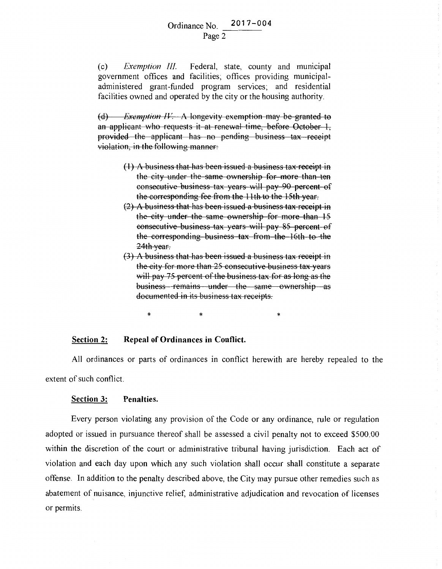(c) *Exemption Ill.* Federal, state, county and municipal government offices and facilities; offices providing municipaladministered grant-funded program services; and residential facilities owned and operated by the city or the housing authority.

(d) *Exemption IV*. A longevity exemption may be granted to an applicant who requests it at renewal time, before October 1, provided the applicant has no pending business tax receipt violation, in the following manner:

- $(1)$  A business that has been issued a business tax receipt in the city under the same ownership for more than ten consecutive business tax years will pay 90 percent of the corresponding fee from the 11th to the 15th year.
- (2) A business that has been issued a business tax receipt in the city under the same ownership for more than 15 consecutive business tax years will pay 85 percent of the corresponding business tax from the 16th to the 24th year.
- (3) A business that has been issued a business tax receipt in the city for more than 25 consecutive business tax years will pay 75 percent of the business tax for as long as the business remains under the same ownership as documented in its business tax receipts.

\* \* \* \* \*

#### **Section 2: Repeal of Ordinances in Conflict.**

All ordinances or parts of ordinances in conflict herewith are hereby repealed to the extent of such conflict.

### **Section 3: Penalties.**

Every person violating any provision of the Code or any ordinance, rule or regulation adopted or issued in pursuance thereof shall be assessed a civil penalty not to exceed \$500.00 within the discretion of the court or administrative tribunal having jurisdiction. Each act of violation and each day upon which any such violation shall occur shall constitute a separate offense. In addition to the penalty described above, the City may pursue other remedies such as abatement of nuisance, injunctive relief, administrative adjudication and revocation of licenses or permits.